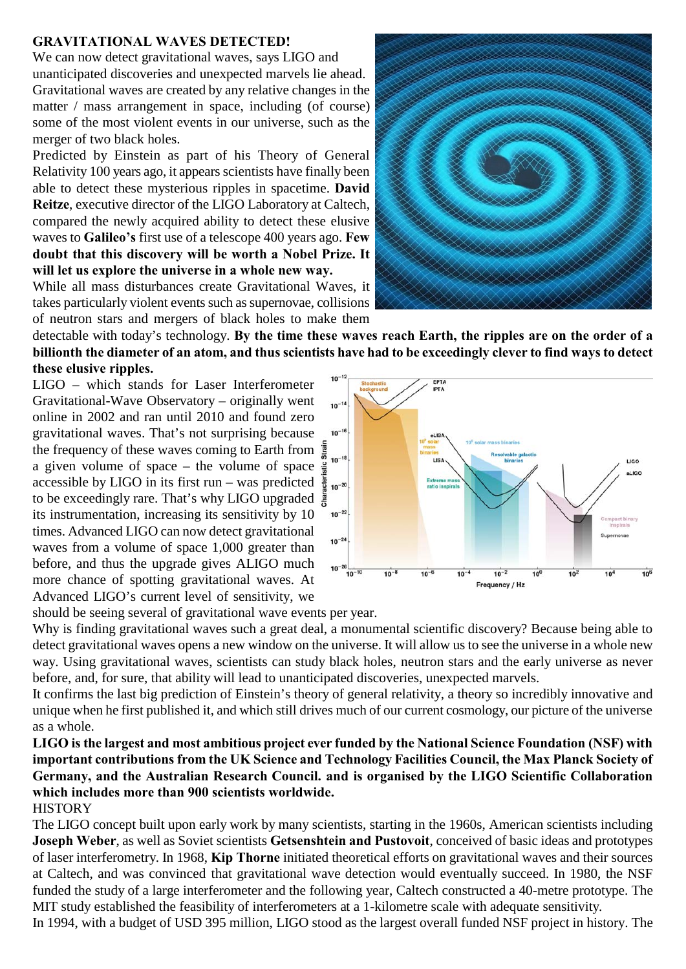## **GRAVITATIONAL WAVES DETECTED!**

We can now detect gravitational waves, says LIGO and unanticipated discoveries and unexpected marvels lie ahead. Gravitational waves are created by any relative changes in the matter / mass arrangement in space, including (of course) some of the most violent events in our universe, such as the merger of two black holes.

Predicted by Einstein as part of his Theory of General Relativity 100 years ago, it appears scientists have finally been able to detect these mysterious ripples in spacetime. **David Reitze**, executive director of the LIGO Laboratory at Caltech, compared the newly acquired ability to detect these elusive waves to **Galileo's** first use of a telescope 400 years ago. **Few doubt that this discovery will be worth a Nobel Prize. It will let us explore the universe in a whole new way.**

While all mass disturbances create Gravitational Waves, it takes particularly violent events such as supernovae, collisions of neutron stars and mergers of black holes to make them



detectable with today's technology. **By the time these waves reach Earth, the ripples are on the order of a billionth the diameter of an atom, and thus scientists have had to be exceedingly clever to find ways to detect these elusive ripples.**

LIGO – which stands for Laser Interferometer Gravitational-Wave Observatory – originally went online in 2002 and ran until 2010 and found zero gravitational waves. That's not surprising because the frequency of these waves coming to Earth from a given volume of space – the volume of space  $\frac{5}{3}$ accessible by LIGO in its first run – was predicted  $\frac{8}{8}$  to- $\infty$ to be exceedingly rare. That's why LIGO upgraded  $\frac{1}{2}$ its instrumentation, increasing its sensitivity by 10 times. Advanced LIGO can now detect gravitational waves from a volume of space 1,000 greater than before, and thus the upgrade gives ALIGO much more chance of spotting gravitational waves. At Advanced LIGO's current level of sensitivity, we



should be seeing several of gravitational wave events per year.

Why is finding gravitational waves such a great deal, a monumental scientific discovery? Because being able to detect gravitational waves opens a new window on the universe. It will allow us to see the universe in a whole new way. Using gravitational waves, scientists can study black holes, neutron stars and the early universe as never before, and, for sure, that ability will lead to unanticipated discoveries, unexpected marvels.

It confirms the last big prediction of Einstein's theory of general relativity, a theory so incredibly innovative and unique when he first published it, and which still drives much of our current cosmology, our picture of the universe as a whole.

**LIGO is the largest and most ambitious project ever funded by the National Science Foundation (NSF) with important contributions from the UK Science and Technology Facilities Council, the Max Planck Society of Germany, and the Australian Research Council. and is organised by the LIGO Scientific Collaboration which includes more than 900 scientists worldwide.**

## **HISTORY**

The LIGO concept built upon early work by many scientists, starting in the 1960s, American scientists including **Joseph Weber**, as well as Soviet scientists **Getsenshtein and Pustovoit**, conceived of basic ideas and prototypes of laser interferometry. In 1968, **Kip Thorne** initiated theoretical efforts on gravitational waves and their sources at Caltech, and was convinced that gravitational wave detection would eventually succeed. In 1980, the NSF funded the study of a large interferometer and the following year, Caltech constructed a 40-metre prototype. The MIT study established the feasibility of interferometers at a 1-kilometre scale with adequate sensitivity.

In 1994, with a budget of USD 395 million, LIGO stood as the largest overall funded NSF project in history. The